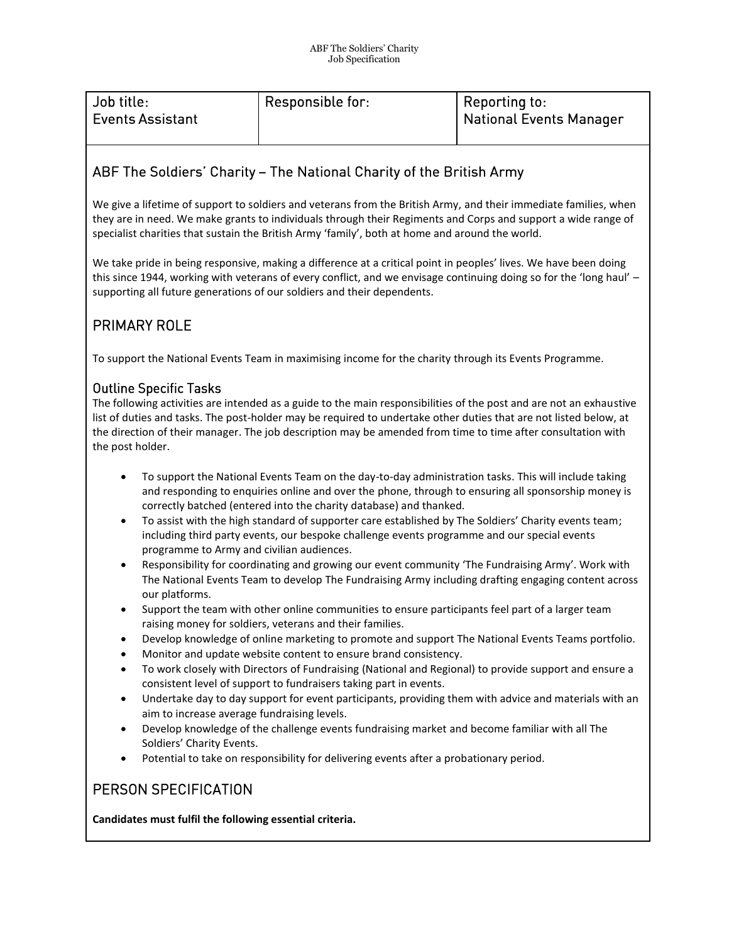| Job title:              | <b>Responsible for:</b> | Reporting to:           |
|-------------------------|-------------------------|-------------------------|
| <b>Events Assistant</b> |                         | National Events Manager |
|                         |                         |                         |

# ABF The Soldiers' Charity - The National Charity of the British Army

We give a lifetime of support to soldiers and veterans from the British Army, and their immediate families, when they are in need. We make grants to individuals through their Regiments and Corps and support a wide range of specialist charities that sustain the British Army 'family', both at home and around the world.

We take pride in being responsive, making a difference at a critical point in peoples' lives. We have been doing this since 1944, working with veterans of every conflict, and we envisage continuing doing so for the 'long haul' – supporting all future generations of our soldiers and their dependents.

## PRIMARY ROLE

To support the National Events Team in maximising income for the charity through its Events Programme.

### **Outline Specific Tasks**

The following activities are intended as a guide to the main responsibilities of the post and are not an exhaustive list of duties and tasks. The post-holder may be required to undertake other duties that are not listed below, at the direction of their manager. The job description may be amended from time to time after consultation with the post holder.

- To support the National Events Team on the day-to-day administration tasks. This will include taking and responding to enquiries online and over the phone, through to ensuring all sponsorship money is correctly batched (entered into the charity database) and thanked.
- To assist with the high standard of supporter care established by The Soldiers' Charity events team; including third party events, our bespoke challenge events programme and our special events programme to Army and civilian audiences.
- Responsibility for coordinating and growing our event community 'The Fundraising Army'. Work with The National Events Team to develop The Fundraising Army including drafting engaging content across our platforms.
- Support the team with other online communities to ensure participants feel part of a larger team raising money for soldiers, veterans and their families.
- Develop knowledge of online marketing to promote and support The National Events Teams portfolio.
- Monitor and update website content to ensure brand consistency.
- To work closely with Directors of Fundraising (National and Regional) to provide support and ensure a consistent level of support to fundraisers taking part in events.
- Undertake day to day support for event participants, providing them with advice and materials with an aim to increase average fundraising levels.
- Develop knowledge of the challenge events fundraising market and become familiar with all The Soldiers' Charity Events.
- Potential to take on responsibility for delivering events after a probationary period.

### PERSON SPECIFICATION

**Candidates must fulfil the following essential criteria.**